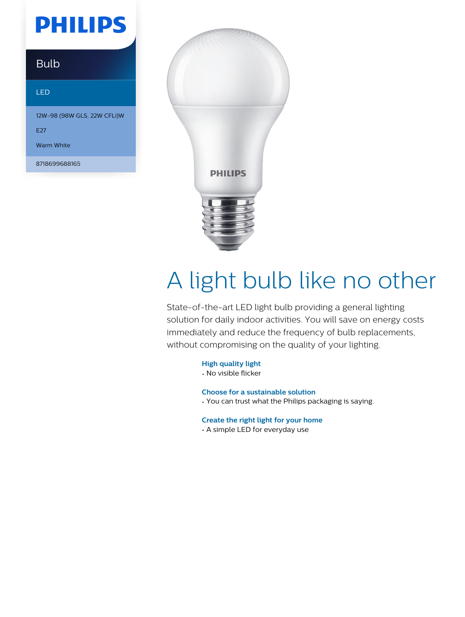## **PHILIPS**

### Bulb

#### LED

12W-98 (98W GLS, 22W CFLi)W

E<sub>27</sub>

Warm White

8718699688165



# A light bulb like no other

State-of-the-art LED light bulb providing a general lighting solution for daily indoor activities. You will save on energy costs immediately and reduce the frequency of bulb replacements, without compromising on the quality of your lighting.

**High quality light**

• No visible flicker

**Choose for a sustainable solution**

• You can trust what the Philips packaging is saying.

**Create the right light for your home**

• A simple LED for everyday use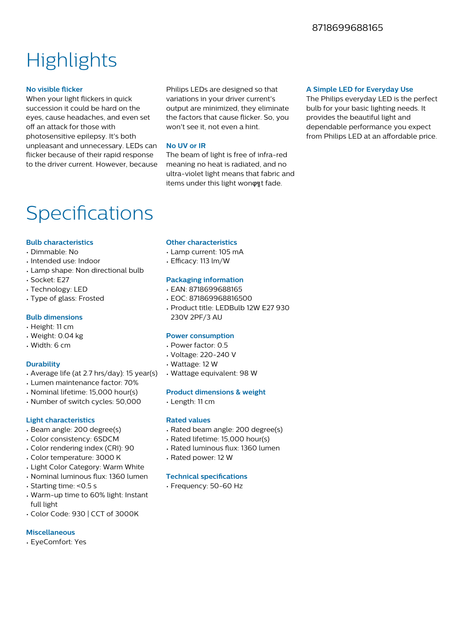### **Highlights**

#### **No visible flicker**

When your light flickers in quick succession it could be hard on the eyes, cause headaches, and even set off an attack for those with photosensitive epilepsy. It's both unpleasant and unnecessary. LEDs can flicker because of their rapid response to the driver current. However, because

Philips LEDs are designed so that variations in your driver current's output are minimized, they eliminate the factors that cause flicker. So, you won't see it, not even a hint.

#### **No UV or IR**

The beam of light is free of infra-red meaning no heat is radiated, and no ultra-violet light means that fabric and items under this light wonφηt fade.

#### **A Simple LED for Everyday Use**

The Philips everyday LED is the perfect bulb for your basic lighting needs. It provides the beautiful light and dependable performance you expect from Philips LED at an affordable price.

### Specifications

#### **Bulb characteristics**

- Dimmable: No
- Intended use: Indoor
- Lamp shape: Non directional bulb
- Socket: E27
- Technology: LED
- Type of glass: Frosted

#### **Bulb dimensions**

- Height: 11 cm
- Weight: 0.04 kg
- Width: 6 cm

#### **Durability**

- Average life (at 2.7 hrs/day): 15 year(s)
- Lumen maintenance factor: 70%
- Nominal lifetime: 15,000 hour(s)
- Number of switch cycles: 50,000

#### **Light characteristics**

- Beam angle: 200 degree(s)
- Color consistency: 6SDCM
- Color rendering index (CRI): 90
- Color temperature: 3000 K
- Light Color Category: Warm White
- Nominal luminous flux: 1360 lumen
- Starting time: <0.5 s
- Warm-up time to 60% light: Instant full light
- Color Code: 930 | CCT of 3000K

#### **Miscellaneous**

• EyeComfort: Yes

#### **Other characteristics**

- Lamp current: 105 mA
- $\cdot$  Efficacy: 113 lm/W

#### **Packaging information**

- EAN: 8718699688165
- EOC: 871869968816500
- Product title: LEDBulb 12W E27 930 230V 2PF/3 AU

#### **Power consumption**

- Power factor: 0.5
- Voltage: 220-240 V
- Wattage: 12 W
- Wattage equivalent: 98 W

#### **Product dimensions & weight**

• Length: 11 cm

#### **Rated values**

- Rated beam angle: 200 degree(s)
- Rated lifetime: 15,000 hour(s)
- Rated luminous flux: 1360 lumen
- Rated power: 12 W

#### **Technical specifications**

• Frequency: 50-60 Hz